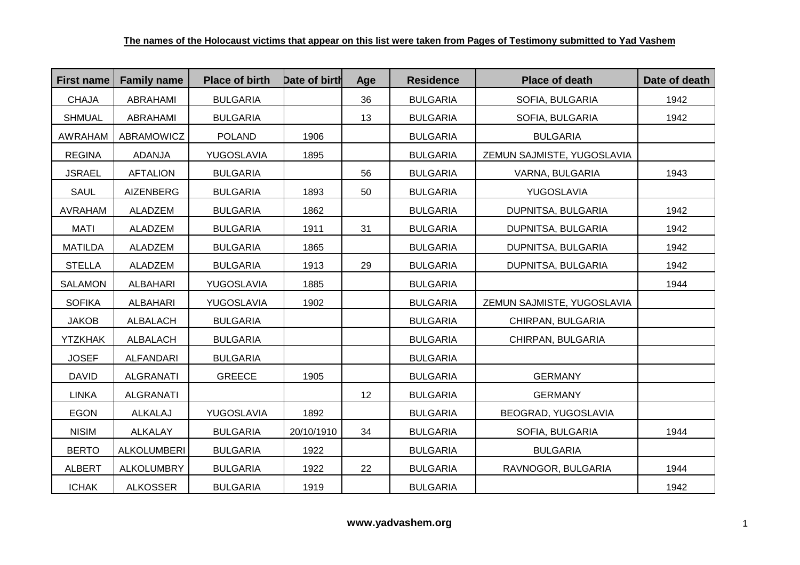| <b>First name</b> | <b>Family name</b> | <b>Place of birth</b> | Date of birth | Age | <b>Residence</b> | <b>Place of death</b>      | Date of death |
|-------------------|--------------------|-----------------------|---------------|-----|------------------|----------------------------|---------------|
| <b>CHAJA</b>      | ABRAHAMI           | <b>BULGARIA</b>       |               | 36  | <b>BULGARIA</b>  | SOFIA, BULGARIA            | 1942          |
| <b>SHMUAL</b>     | ABRAHAMI           | <b>BULGARIA</b>       |               | 13  | <b>BULGARIA</b>  | SOFIA, BULGARIA            | 1942          |
| <b>AWRAHAM</b>    | ABRAMOWICZ         | <b>POLAND</b>         | 1906          |     | <b>BULGARIA</b>  | <b>BULGARIA</b>            |               |
| <b>REGINA</b>     | ADANJA             | YUGOSLAVIA            | 1895          |     | <b>BULGARIA</b>  | ZEMUN SAJMISTE, YUGOSLAVIA |               |
| <b>JSRAEL</b>     | <b>AFTALION</b>    | <b>BULGARIA</b>       |               | 56  | <b>BULGARIA</b>  | VARNA, BULGARIA            | 1943          |
| <b>SAUL</b>       | <b>AIZENBERG</b>   | <b>BULGARIA</b>       | 1893          | 50  | <b>BULGARIA</b>  | YUGOSLAVIA                 |               |
| <b>AVRAHAM</b>    | ALADZEM            | <b>BULGARIA</b>       | 1862          |     | <b>BULGARIA</b>  | DUPNITSA, BULGARIA         | 1942          |
| <b>MATI</b>       | ALADZEM            | <b>BULGARIA</b>       | 1911          | 31  | <b>BULGARIA</b>  | DUPNITSA, BULGARIA         | 1942          |
| <b>MATILDA</b>    | ALADZEM            | <b>BULGARIA</b>       | 1865          |     | <b>BULGARIA</b>  | DUPNITSA, BULGARIA         | 1942          |
| <b>STELLA</b>     | ALADZEM            | <b>BULGARIA</b>       | 1913          | 29  | <b>BULGARIA</b>  | DUPNITSA, BULGARIA         | 1942          |
| <b>SALAMON</b>    | <b>ALBAHARI</b>    | YUGOSLAVIA            | 1885          |     | <b>BULGARIA</b>  |                            | 1944          |
| <b>SOFIKA</b>     | <b>ALBAHARI</b>    | YUGOSLAVIA            | 1902          |     | <b>BULGARIA</b>  | ZEMUN SAJMISTE, YUGOSLAVIA |               |
| <b>JAKOB</b>      | <b>ALBALACH</b>    | <b>BULGARIA</b>       |               |     | <b>BULGARIA</b>  | CHIRPAN, BULGARIA          |               |
| <b>YTZKHAK</b>    | ALBALACH           | <b>BULGARIA</b>       |               |     | <b>BULGARIA</b>  | CHIRPAN, BULGARIA          |               |
| <b>JOSEF</b>      | ALFANDARI          | <b>BULGARIA</b>       |               |     | <b>BULGARIA</b>  |                            |               |
| <b>DAVID</b>      | <b>ALGRANATI</b>   | GREECE                | 1905          |     | <b>BULGARIA</b>  | <b>GERMANY</b>             |               |
| <b>LINKA</b>      | <b>ALGRANATI</b>   |                       |               | 12  | <b>BULGARIA</b>  | <b>GERMANY</b>             |               |
| <b>EGON</b>       | ALKALAJ            | YUGOSLAVIA            | 1892          |     | <b>BULGARIA</b>  | BEOGRAD, YUGOSLAVIA        |               |
| <b>NISIM</b>      | <b>ALKALAY</b>     | <b>BULGARIA</b>       | 20/10/1910    | 34  | <b>BULGARIA</b>  | SOFIA, BULGARIA            | 1944          |
| <b>BERTO</b>      | <b>ALKOLUMBERI</b> | <b>BULGARIA</b>       | 1922          |     | <b>BULGARIA</b>  | <b>BULGARIA</b>            |               |
| <b>ALBERT</b>     | <b>ALKOLUMBRY</b>  | <b>BULGARIA</b>       | 1922          | 22  | <b>BULGARIA</b>  | RAVNOGOR, BULGARIA         | 1944          |
| <b>ICHAK</b>      | <b>ALKOSSER</b>    | <b>BULGARIA</b>       | 1919          |     | <b>BULGARIA</b>  |                            | 1942          |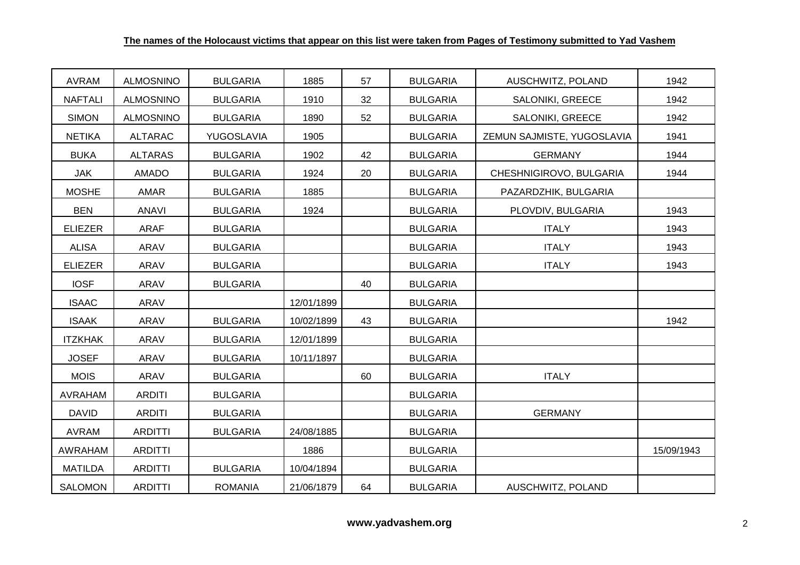| <b>AVRAM</b>   | <b>ALMOSNINO</b> | <b>BULGARIA</b> | 1885       | 57 | <b>BULGARIA</b> | AUSCHWITZ, POLAND          | 1942       |
|----------------|------------------|-----------------|------------|----|-----------------|----------------------------|------------|
| <b>NAFTALI</b> | <b>ALMOSNINO</b> | <b>BULGARIA</b> | 1910       | 32 | <b>BULGARIA</b> | SALONIKI, GREECE           | 1942       |
| <b>SIMON</b>   | <b>ALMOSNINO</b> | <b>BULGARIA</b> | 1890       | 52 | <b>BULGARIA</b> | SALONIKI, GREECE           | 1942       |
| <b>NETIKA</b>  | <b>ALTARAC</b>   | YUGOSLAVIA      | 1905       |    | <b>BULGARIA</b> | ZEMUN SAJMISTE, YUGOSLAVIA | 1941       |
| <b>BUKA</b>    | <b>ALTARAS</b>   | <b>BULGARIA</b> | 1902       | 42 | <b>BULGARIA</b> | <b>GERMANY</b>             | 1944       |
| <b>JAK</b>     | AMADO            | <b>BULGARIA</b> | 1924       | 20 | <b>BULGARIA</b> | CHESHNIGIROVO, BULGARIA    | 1944       |
| <b>MOSHE</b>   | AMAR             | <b>BULGARIA</b> | 1885       |    | <b>BULGARIA</b> | PAZARDZHIK, BULGARIA       |            |
| <b>BEN</b>     | ANAVI            | <b>BULGARIA</b> | 1924       |    | <b>BULGARIA</b> | PLOVDIV, BULGARIA          | 1943       |
| <b>ELIEZER</b> | <b>ARAF</b>      | <b>BULGARIA</b> |            |    | <b>BULGARIA</b> | <b>ITALY</b>               | 1943       |
| <b>ALISA</b>   | ARAV             | <b>BULGARIA</b> |            |    | <b>BULGARIA</b> | <b>ITALY</b>               | 1943       |
| <b>ELIEZER</b> | ARAV             | <b>BULGARIA</b> |            |    | <b>BULGARIA</b> | <b>ITALY</b>               | 1943       |
| <b>IOSF</b>    | ARAV             | <b>BULGARIA</b> |            | 40 | <b>BULGARIA</b> |                            |            |
| <b>ISAAC</b>   | ARAV             |                 | 12/01/1899 |    | <b>BULGARIA</b> |                            |            |
| <b>ISAAK</b>   | ARAV             | <b>BULGARIA</b> | 10/02/1899 | 43 | <b>BULGARIA</b> |                            | 1942       |
| <b>ITZKHAK</b> | ARAV             | <b>BULGARIA</b> | 12/01/1899 |    | <b>BULGARIA</b> |                            |            |
| <b>JOSEF</b>   | <b>ARAV</b>      | <b>BULGARIA</b> | 10/11/1897 |    | <b>BULGARIA</b> |                            |            |
| <b>MOIS</b>    | ARAV             | <b>BULGARIA</b> |            | 60 | <b>BULGARIA</b> | <b>ITALY</b>               |            |
| <b>AVRAHAM</b> | <b>ARDITI</b>    | <b>BULGARIA</b> |            |    | <b>BULGARIA</b> |                            |            |
| <b>DAVID</b>   | <b>ARDITI</b>    | <b>BULGARIA</b> |            |    | <b>BULGARIA</b> | <b>GERMANY</b>             |            |
| <b>AVRAM</b>   | <b>ARDITTI</b>   | <b>BULGARIA</b> | 24/08/1885 |    | <b>BULGARIA</b> |                            |            |
| <b>AWRAHAM</b> | <b>ARDITTI</b>   |                 | 1886       |    | <b>BULGARIA</b> |                            | 15/09/1943 |
| <b>MATILDA</b> | <b>ARDITTI</b>   | <b>BULGARIA</b> | 10/04/1894 |    | <b>BULGARIA</b> |                            |            |
| <b>SALOMON</b> | <b>ARDITTI</b>   | <b>ROMANIA</b>  | 21/06/1879 | 64 | <b>BULGARIA</b> | AUSCHWITZ, POLAND          |            |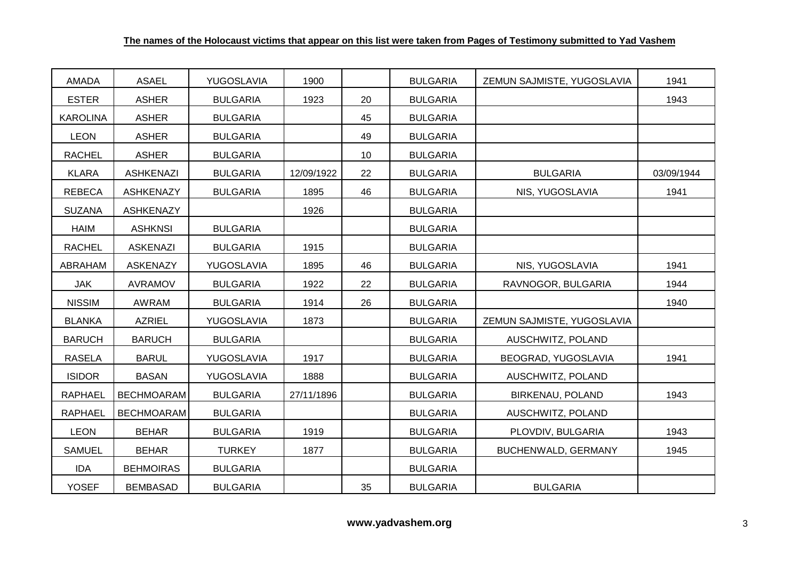| <b>AMADA</b>    | <b>ASAEL</b>      | YUGOSLAVIA      | 1900       |    | <b>BULGARIA</b> | ZEMUN SAJMISTE, YUGOSLAVIA | 1941       |
|-----------------|-------------------|-----------------|------------|----|-----------------|----------------------------|------------|
| <b>ESTER</b>    | <b>ASHER</b>      | <b>BULGARIA</b> | 1923       | 20 | <b>BULGARIA</b> |                            | 1943       |
| <b>KAROLINA</b> | <b>ASHER</b>      | <b>BULGARIA</b> |            | 45 | <b>BULGARIA</b> |                            |            |
| <b>LEON</b>     | <b>ASHER</b>      | <b>BULGARIA</b> |            | 49 | <b>BULGARIA</b> |                            |            |
| <b>RACHEL</b>   | <b>ASHER</b>      | <b>BULGARIA</b> |            | 10 | <b>BULGARIA</b> |                            |            |
| <b>KLARA</b>    | <b>ASHKENAZI</b>  | <b>BULGARIA</b> | 12/09/1922 | 22 | <b>BULGARIA</b> | <b>BULGARIA</b>            | 03/09/1944 |
| <b>REBECA</b>   | <b>ASHKENAZY</b>  | <b>BULGARIA</b> | 1895       | 46 | <b>BULGARIA</b> | NIS, YUGOSLAVIA            | 1941       |
| <b>SUZANA</b>   | <b>ASHKENAZY</b>  |                 | 1926       |    | <b>BULGARIA</b> |                            |            |
| HAIM            | <b>ASHKNSI</b>    | <b>BULGARIA</b> |            |    | <b>BULGARIA</b> |                            |            |
| <b>RACHEL</b>   | <b>ASKENAZI</b>   | <b>BULGARIA</b> | 1915       |    | <b>BULGARIA</b> |                            |            |
| ABRAHAM         | <b>ASKENAZY</b>   | YUGOSLAVIA      | 1895       | 46 | <b>BULGARIA</b> | NIS, YUGOSLAVIA            | 1941       |
| <b>JAK</b>      | <b>AVRAMOV</b>    | <b>BULGARIA</b> | 1922       | 22 | <b>BULGARIA</b> | RAVNOGOR, BULGARIA         | 1944       |
| <b>NISSIM</b>   | AWRAM             | <b>BULGARIA</b> | 1914       | 26 | <b>BULGARIA</b> |                            | 1940       |
| <b>BLANKA</b>   | <b>AZRIEL</b>     | YUGOSLAVIA      | 1873       |    | <b>BULGARIA</b> | ZEMUN SAJMISTE, YUGOSLAVIA |            |
| <b>BARUCH</b>   | <b>BARUCH</b>     | <b>BULGARIA</b> |            |    | <b>BULGARIA</b> | AUSCHWITZ, POLAND          |            |
| <b>RASELA</b>   | <b>BARUL</b>      | YUGOSLAVIA      | 1917       |    | <b>BULGARIA</b> | BEOGRAD, YUGOSLAVIA        | 1941       |
| <b>ISIDOR</b>   | <b>BASAN</b>      | YUGOSLAVIA      | 1888       |    | <b>BULGARIA</b> | AUSCHWITZ, POLAND          |            |
| <b>RAPHAEL</b>  | <b>BECHMOARAM</b> | <b>BULGARIA</b> | 27/11/1896 |    | <b>BULGARIA</b> | BIRKENAU, POLAND           | 1943       |
| <b>RAPHAEL</b>  | <b>BECHMOARAM</b> | <b>BULGARIA</b> |            |    | <b>BULGARIA</b> | AUSCHWITZ, POLAND          |            |
| <b>LEON</b>     | <b>BEHAR</b>      | <b>BULGARIA</b> | 1919       |    | <b>BULGARIA</b> | PLOVDIV, BULGARIA          | 1943       |
| <b>SAMUEL</b>   | <b>BEHAR</b>      | <b>TURKEY</b>   | 1877       |    | <b>BULGARIA</b> | BUCHENWALD, GERMANY        | 1945       |
| <b>IDA</b>      | <b>BEHMOIRAS</b>  | <b>BULGARIA</b> |            |    | <b>BULGARIA</b> |                            |            |
| <b>YOSEF</b>    | <b>BEMBASAD</b>   | <b>BULGARIA</b> |            | 35 | <b>BULGARIA</b> | <b>BULGARIA</b>            |            |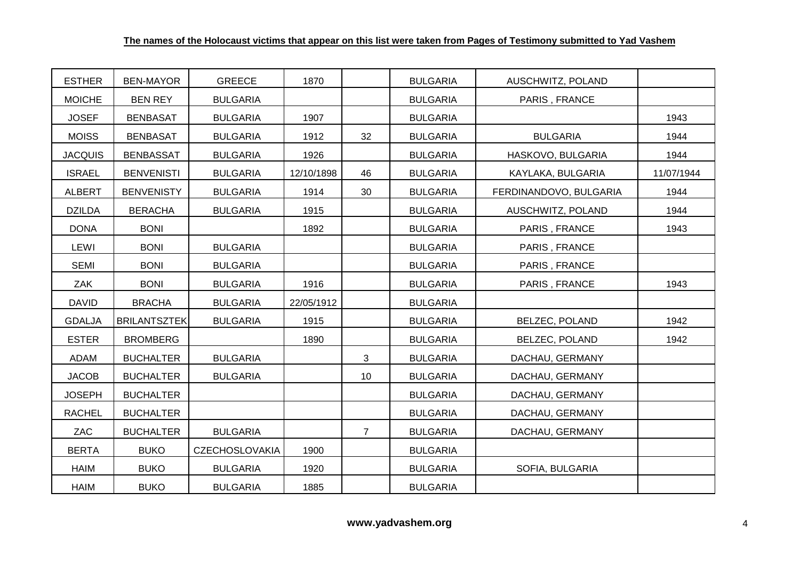| <b>ESTHER</b>  | <b>BEN-MAYOR</b>    | <b>GREECE</b>         | 1870       |                | <b>BULGARIA</b> | AUSCHWITZ, POLAND      |            |
|----------------|---------------------|-----------------------|------------|----------------|-----------------|------------------------|------------|
| <b>MOICHE</b>  | <b>BEN REY</b>      | <b>BULGARIA</b>       |            |                | <b>BULGARIA</b> | PARIS, FRANCE          |            |
| <b>JOSEF</b>   | <b>BENBASAT</b>     | <b>BULGARIA</b>       | 1907       |                | <b>BULGARIA</b> |                        | 1943       |
| <b>MOISS</b>   | <b>BENBASAT</b>     | <b>BULGARIA</b>       | 1912       | 32             | <b>BULGARIA</b> | <b>BULGARIA</b>        | 1944       |
| <b>JACQUIS</b> | <b>BENBASSAT</b>    | <b>BULGARIA</b>       | 1926       |                | <b>BULGARIA</b> | HASKOVO, BULGARIA      | 1944       |
| <b>ISRAEL</b>  | <b>BENVENISTI</b>   | <b>BULGARIA</b>       | 12/10/1898 | 46             | <b>BULGARIA</b> | KAYLAKA, BULGARIA      | 11/07/1944 |
| <b>ALBERT</b>  | <b>BENVENISTY</b>   | <b>BULGARIA</b>       | 1914       | 30             | <b>BULGARIA</b> | FERDINANDOVO, BULGARIA | 1944       |
| <b>DZILDA</b>  | <b>BERACHA</b>      | <b>BULGARIA</b>       | 1915       |                | <b>BULGARIA</b> | AUSCHWITZ, POLAND      | 1944       |
| <b>DONA</b>    | <b>BONI</b>         |                       | 1892       |                | <b>BULGARIA</b> | PARIS, FRANCE          | 1943       |
| LEWI           | <b>BONI</b>         | <b>BULGARIA</b>       |            |                | <b>BULGARIA</b> | PARIS, FRANCE          |            |
| <b>SEMI</b>    | <b>BONI</b>         | <b>BULGARIA</b>       |            |                | <b>BULGARIA</b> | PARIS, FRANCE          |            |
| ZAK            | <b>BONI</b>         | <b>BULGARIA</b>       | 1916       |                | <b>BULGARIA</b> | PARIS, FRANCE          | 1943       |
| <b>DAVID</b>   | <b>BRACHA</b>       | <b>BULGARIA</b>       | 22/05/1912 |                | <b>BULGARIA</b> |                        |            |
| <b>GDALJA</b>  | <b>BRILANTSZTEK</b> | <b>BULGARIA</b>       | 1915       |                | <b>BULGARIA</b> | <b>BELZEC, POLAND</b>  | 1942       |
| <b>ESTER</b>   | <b>BROMBERG</b>     |                       | 1890       |                | <b>BULGARIA</b> | <b>BELZEC, POLAND</b>  | 1942       |
| ADAM           | <b>BUCHALTER</b>    | <b>BULGARIA</b>       |            | 3              | <b>BULGARIA</b> | DACHAU, GERMANY        |            |
| <b>JACOB</b>   | <b>BUCHALTER</b>    | <b>BULGARIA</b>       |            | 10             | <b>BULGARIA</b> | DACHAU, GERMANY        |            |
| <b>JOSEPH</b>  | <b>BUCHALTER</b>    |                       |            |                | <b>BULGARIA</b> | DACHAU, GERMANY        |            |
| <b>RACHEL</b>  | <b>BUCHALTER</b>    |                       |            |                | <b>BULGARIA</b> | DACHAU, GERMANY        |            |
| ZAC            | <b>BUCHALTER</b>    | <b>BULGARIA</b>       |            | $\overline{7}$ | <b>BULGARIA</b> | DACHAU, GERMANY        |            |
| <b>BERTA</b>   | <b>BUKO</b>         | <b>CZECHOSLOVAKIA</b> | 1900       |                | <b>BULGARIA</b> |                        |            |
| <b>HAIM</b>    | <b>BUKO</b>         | <b>BULGARIA</b>       | 1920       |                | <b>BULGARIA</b> | SOFIA, BULGARIA        |            |
| <b>HAIM</b>    | <b>BUKO</b>         | <b>BULGARIA</b>       | 1885       |                | <b>BULGARIA</b> |                        |            |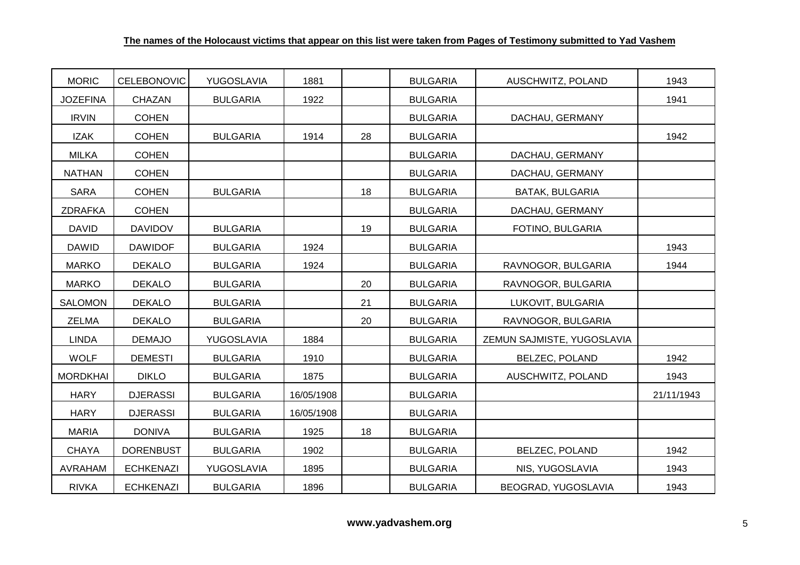| <b>MORIC</b>    | CELEBONOVIC      | YUGOSLAVIA      | 1881       |    | <b>BULGARIA</b> | AUSCHWITZ, POLAND          | 1943       |
|-----------------|------------------|-----------------|------------|----|-----------------|----------------------------|------------|
| <b>JOZEFINA</b> | <b>CHAZAN</b>    | <b>BULGARIA</b> | 1922       |    | <b>BULGARIA</b> |                            | 1941       |
| <b>IRVIN</b>    | <b>COHEN</b>     |                 |            |    | <b>BULGARIA</b> | DACHAU, GERMANY            |            |
| <b>IZAK</b>     | <b>COHEN</b>     | <b>BULGARIA</b> | 1914       | 28 | <b>BULGARIA</b> |                            | 1942       |
| <b>MILKA</b>    | <b>COHEN</b>     |                 |            |    | <b>BULGARIA</b> | DACHAU, GERMANY            |            |
| <b>NATHAN</b>   | <b>COHEN</b>     |                 |            |    | <b>BULGARIA</b> | DACHAU, GERMANY            |            |
| <b>SARA</b>     | <b>COHEN</b>     | <b>BULGARIA</b> |            | 18 | <b>BULGARIA</b> | BATAK, BULGARIA            |            |
| <b>ZDRAFKA</b>  | <b>COHEN</b>     |                 |            |    | <b>BULGARIA</b> | DACHAU, GERMANY            |            |
| <b>DAVID</b>    | <b>DAVIDOV</b>   | <b>BULGARIA</b> |            | 19 | <b>BULGARIA</b> | FOTINO, BULGARIA           |            |
| <b>DAWID</b>    | <b>DAWIDOF</b>   | <b>BULGARIA</b> | 1924       |    | <b>BULGARIA</b> |                            | 1943       |
| <b>MARKO</b>    | <b>DEKALO</b>    | <b>BULGARIA</b> | 1924       |    | <b>BULGARIA</b> | RAVNOGOR, BULGARIA         | 1944       |
| <b>MARKO</b>    | <b>DEKALO</b>    | <b>BULGARIA</b> |            | 20 | <b>BULGARIA</b> | RAVNOGOR, BULGARIA         |            |
| <b>SALOMON</b>  | <b>DEKALO</b>    | <b>BULGARIA</b> |            | 21 | <b>BULGARIA</b> | LUKOVIT, BULGARIA          |            |
| <b>ZELMA</b>    | <b>DEKALO</b>    | <b>BULGARIA</b> |            | 20 | <b>BULGARIA</b> | RAVNOGOR, BULGARIA         |            |
| <b>LINDA</b>    | <b>DEMAJO</b>    | YUGOSLAVIA      | 1884       |    | <b>BULGARIA</b> | ZEMUN SAJMISTE, YUGOSLAVIA |            |
| <b>WOLF</b>     | <b>DEMESTI</b>   | <b>BULGARIA</b> | 1910       |    | <b>BULGARIA</b> | <b>BELZEC, POLAND</b>      | 1942       |
| <b>MORDKHAI</b> | <b>DIKLO</b>     | <b>BULGARIA</b> | 1875       |    | <b>BULGARIA</b> | AUSCHWITZ, POLAND          | 1943       |
| <b>HARY</b>     | <b>DJERASSI</b>  | <b>BULGARIA</b> | 16/05/1908 |    | <b>BULGARIA</b> |                            | 21/11/1943 |
| <b>HARY</b>     | <b>DJERASSI</b>  | <b>BULGARIA</b> | 16/05/1908 |    | <b>BULGARIA</b> |                            |            |
| <b>MARIA</b>    | <b>DONIVA</b>    | <b>BULGARIA</b> | 1925       | 18 | <b>BULGARIA</b> |                            |            |
| <b>CHAYA</b>    | <b>DORENBUST</b> | <b>BULGARIA</b> | 1902       |    | <b>BULGARIA</b> | <b>BELZEC, POLAND</b>      | 1942       |
| <b>AVRAHAM</b>  | <b>ECHKENAZI</b> | YUGOSLAVIA      | 1895       |    | <b>BULGARIA</b> | NIS, YUGOSLAVIA            | 1943       |
| <b>RIVKA</b>    | <b>ECHKENAZI</b> | <b>BULGARIA</b> | 1896       |    | <b>BULGARIA</b> | BEOGRAD, YUGOSLAVIA        | 1943       |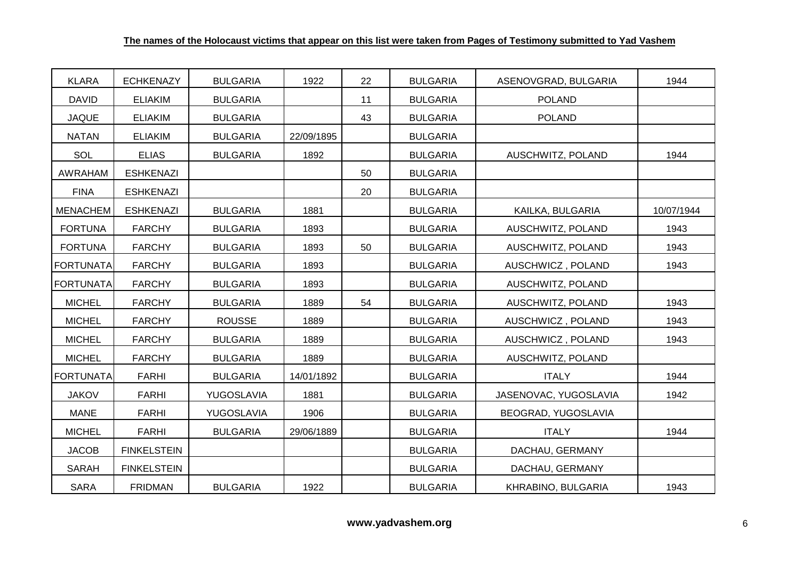| <b>KLARA</b>     | <b>ECHKENAZY</b>   | <b>BULGARIA</b> | 1922       | 22 | <b>BULGARIA</b> | ASENOVGRAD, BULGARIA  | 1944       |
|------------------|--------------------|-----------------|------------|----|-----------------|-----------------------|------------|
| <b>DAVID</b>     | <b>ELIAKIM</b>     | <b>BULGARIA</b> |            | 11 | <b>BULGARIA</b> | <b>POLAND</b>         |            |
| <b>JAQUE</b>     | <b>ELIAKIM</b>     | <b>BULGARIA</b> |            | 43 | <b>BULGARIA</b> | <b>POLAND</b>         |            |
| <b>NATAN</b>     | <b>ELIAKIM</b>     | <b>BULGARIA</b> | 22/09/1895 |    | <b>BULGARIA</b> |                       |            |
| SOL              | <b>ELIAS</b>       | <b>BULGARIA</b> | 1892       |    | <b>BULGARIA</b> | AUSCHWITZ, POLAND     | 1944       |
| AWRAHAM          | <b>ESHKENAZI</b>   |                 |            | 50 | <b>BULGARIA</b> |                       |            |
| <b>FINA</b>      | <b>ESHKENAZI</b>   |                 |            | 20 | <b>BULGARIA</b> |                       |            |
| <b>MENACHEM</b>  | <b>ESHKENAZI</b>   | <b>BULGARIA</b> | 1881       |    | <b>BULGARIA</b> | KAILKA, BULGARIA      | 10/07/1944 |
| <b>FORTUNA</b>   | <b>FARCHY</b>      | <b>BULGARIA</b> | 1893       |    | <b>BULGARIA</b> | AUSCHWITZ, POLAND     | 1943       |
| <b>FORTUNA</b>   | <b>FARCHY</b>      | <b>BULGARIA</b> | 1893       | 50 | <b>BULGARIA</b> | AUSCHWITZ, POLAND     | 1943       |
| <b>FORTUNATA</b> | <b>FARCHY</b>      | <b>BULGARIA</b> | 1893       |    | <b>BULGARIA</b> | AUSCHWICZ, POLAND     | 1943       |
| <b>FORTUNATA</b> | <b>FARCHY</b>      | <b>BULGARIA</b> | 1893       |    | <b>BULGARIA</b> | AUSCHWITZ, POLAND     |            |
| <b>MICHEL</b>    | <b>FARCHY</b>      | <b>BULGARIA</b> | 1889       | 54 | <b>BULGARIA</b> | AUSCHWITZ, POLAND     | 1943       |
| <b>MICHEL</b>    | <b>FARCHY</b>      | <b>ROUSSE</b>   | 1889       |    | <b>BULGARIA</b> | AUSCHWICZ, POLAND     | 1943       |
| <b>MICHEL</b>    | <b>FARCHY</b>      | <b>BULGARIA</b> | 1889       |    | <b>BULGARIA</b> | AUSCHWICZ, POLAND     | 1943       |
| <b>MICHEL</b>    | <b>FARCHY</b>      | <b>BULGARIA</b> | 1889       |    | <b>BULGARIA</b> | AUSCHWITZ, POLAND     |            |
| <b>FORTUNATA</b> | <b>FARHI</b>       | <b>BULGARIA</b> | 14/01/1892 |    | <b>BULGARIA</b> | <b>ITALY</b>          | 1944       |
| <b>JAKOV</b>     | <b>FARHI</b>       | YUGOSLAVIA      | 1881       |    | <b>BULGARIA</b> | JASENOVAC, YUGOSLAVIA | 1942       |
| <b>MANE</b>      | <b>FARHI</b>       | YUGOSLAVIA      | 1906       |    | <b>BULGARIA</b> | BEOGRAD, YUGOSLAVIA   |            |
| <b>MICHEL</b>    | <b>FARHI</b>       | <b>BULGARIA</b> | 29/06/1889 |    | <b>BULGARIA</b> | <b>ITALY</b>          | 1944       |
| <b>JACOB</b>     | <b>FINKELSTEIN</b> |                 |            |    | <b>BULGARIA</b> | DACHAU, GERMANY       |            |
| <b>SARAH</b>     | <b>FINKELSTEIN</b> |                 |            |    | <b>BULGARIA</b> | DACHAU, GERMANY       |            |
| <b>SARA</b>      | <b>FRIDMAN</b>     | <b>BULGARIA</b> | 1922       |    | <b>BULGARIA</b> | KHRABINO, BULGARIA    | 1943       |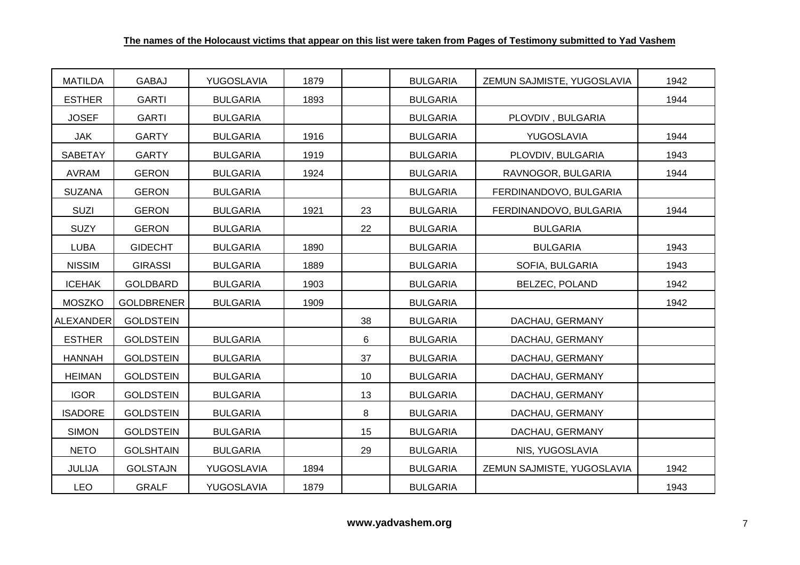| <b>MATILDA</b>   | <b>GABAJ</b>      | YUGOSLAVIA      | 1879 |    | <b>BULGARIA</b> | ZEMUN SAJMISTE, YUGOSLAVIA | 1942 |
|------------------|-------------------|-----------------|------|----|-----------------|----------------------------|------|
| <b>ESTHER</b>    | <b>GARTI</b>      | <b>BULGARIA</b> | 1893 |    | <b>BULGARIA</b> |                            | 1944 |
| <b>JOSEF</b>     | <b>GARTI</b>      | <b>BULGARIA</b> |      |    | <b>BULGARIA</b> | PLOVDIV, BULGARIA          |      |
| <b>JAK</b>       | <b>GARTY</b>      | <b>BULGARIA</b> | 1916 |    | <b>BULGARIA</b> | YUGOSLAVIA                 | 1944 |
| <b>SABETAY</b>   | <b>GARTY</b>      | <b>BULGARIA</b> | 1919 |    | <b>BULGARIA</b> | PLOVDIV, BULGARIA          | 1943 |
| <b>AVRAM</b>     | <b>GERON</b>      | <b>BULGARIA</b> | 1924 |    | <b>BULGARIA</b> | RAVNOGOR, BULGARIA         | 1944 |
| <b>SUZANA</b>    | <b>GERON</b>      | <b>BULGARIA</b> |      |    | <b>BULGARIA</b> | FERDINANDOVO, BULGARIA     |      |
| SUZI             | <b>GERON</b>      | <b>BULGARIA</b> | 1921 | 23 | <b>BULGARIA</b> | FERDINANDOVO, BULGARIA     | 1944 |
| <b>SUZY</b>      | <b>GERON</b>      | <b>BULGARIA</b> |      | 22 | <b>BULGARIA</b> | <b>BULGARIA</b>            |      |
| <b>LUBA</b>      | <b>GIDECHT</b>    | <b>BULGARIA</b> | 1890 |    | <b>BULGARIA</b> | <b>BULGARIA</b>            | 1943 |
| <b>NISSIM</b>    | <b>GIRASSI</b>    | <b>BULGARIA</b> | 1889 |    | <b>BULGARIA</b> | SOFIA, BULGARIA            | 1943 |
| <b>ICEHAK</b>    | GOLDBARD          | <b>BULGARIA</b> | 1903 |    | <b>BULGARIA</b> | <b>BELZEC, POLAND</b>      | 1942 |
| <b>MOSZKO</b>    | <b>GOLDBRENER</b> | <b>BULGARIA</b> | 1909 |    | <b>BULGARIA</b> |                            | 1942 |
| <b>ALEXANDER</b> | <b>GOLDSTEIN</b>  |                 |      | 38 | <b>BULGARIA</b> | DACHAU, GERMANY            |      |
| <b>ESTHER</b>    | <b>GOLDSTEIN</b>  | <b>BULGARIA</b> |      | 6  | <b>BULGARIA</b> | DACHAU, GERMANY            |      |
| <b>HANNAH</b>    | <b>GOLDSTEIN</b>  | <b>BULGARIA</b> |      | 37 | <b>BULGARIA</b> | DACHAU, GERMANY            |      |
| <b>HEIMAN</b>    | <b>GOLDSTEIN</b>  | <b>BULGARIA</b> |      | 10 | <b>BULGARIA</b> | DACHAU, GERMANY            |      |
| <b>IGOR</b>      | <b>GOLDSTEIN</b>  | <b>BULGARIA</b> |      | 13 | <b>BULGARIA</b> | DACHAU, GERMANY            |      |
| <b>ISADORE</b>   | <b>GOLDSTEIN</b>  | <b>BULGARIA</b> |      | 8  | <b>BULGARIA</b> | DACHAU, GERMANY            |      |
| <b>SIMON</b>     | <b>GOLDSTEIN</b>  | <b>BULGARIA</b> |      | 15 | <b>BULGARIA</b> | DACHAU, GERMANY            |      |
| <b>NETO</b>      | <b>GOLSHTAIN</b>  | <b>BULGARIA</b> |      | 29 | <b>BULGARIA</b> | NIS, YUGOSLAVIA            |      |
| JULIJA           | <b>GOLSTAJN</b>   | YUGOSLAVIA      | 1894 |    | <b>BULGARIA</b> | ZEMUN SAJMISTE, YUGOSLAVIA | 1942 |
| <b>LEO</b>       | <b>GRALF</b>      | YUGOSLAVIA      | 1879 |    | <b>BULGARIA</b> |                            | 1943 |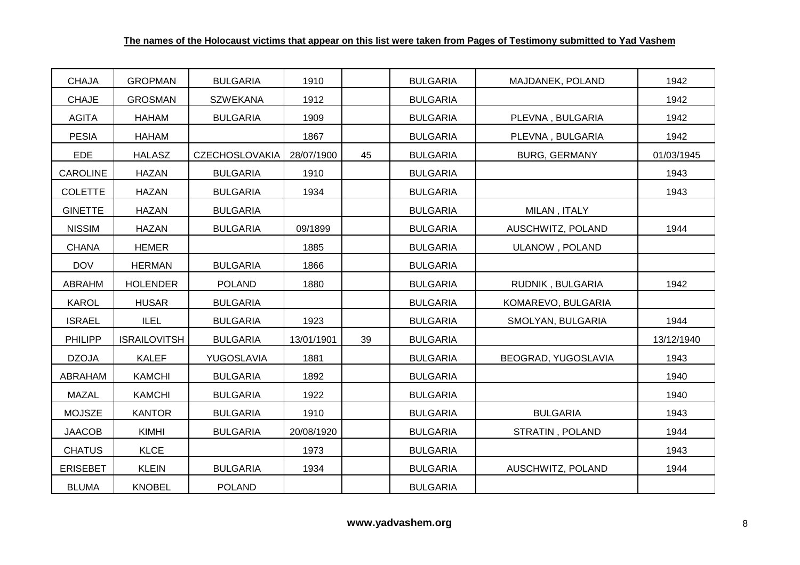| <b>CHAJA</b>    | <b>GROPMAN</b>      | <b>BULGARIA</b>       | 1910       |    | <b>BULGARIA</b> | MAJDANEK, POLAND     | 1942       |
|-----------------|---------------------|-----------------------|------------|----|-----------------|----------------------|------------|
| <b>CHAJE</b>    | <b>GROSMAN</b>      | <b>SZWEKANA</b>       | 1912       |    | <b>BULGARIA</b> |                      | 1942       |
| <b>AGITA</b>    | <b>HAHAM</b>        | <b>BULGARIA</b>       | 1909       |    | <b>BULGARIA</b> | PLEVNA, BULGARIA     | 1942       |
| <b>PESIA</b>    | <b>HAHAM</b>        |                       | 1867       |    | <b>BULGARIA</b> | PLEVNA, BULGARIA     | 1942       |
| <b>EDE</b>      | <b>HALASZ</b>       | <b>CZECHOSLOVAKIA</b> | 28/07/1900 | 45 | <b>BULGARIA</b> | <b>BURG, GERMANY</b> | 01/03/1945 |
| <b>CAROLINE</b> | <b>HAZAN</b>        | <b>BULGARIA</b>       | 1910       |    | <b>BULGARIA</b> |                      | 1943       |
| <b>COLETTE</b>  | <b>HAZAN</b>        | <b>BULGARIA</b>       | 1934       |    | <b>BULGARIA</b> |                      | 1943       |
| <b>GINETTE</b>  | <b>HAZAN</b>        | <b>BULGARIA</b>       |            |    | <b>BULGARIA</b> | MILAN, ITALY         |            |
| <b>NISSIM</b>   | <b>HAZAN</b>        | <b>BULGARIA</b>       | 09/1899    |    | <b>BULGARIA</b> | AUSCHWITZ, POLAND    | 1944       |
| <b>CHANA</b>    | <b>HEMER</b>        |                       | 1885       |    | <b>BULGARIA</b> | ULANOW, POLAND       |            |
| <b>DOV</b>      | <b>HERMAN</b>       | <b>BULGARIA</b>       | 1866       |    | <b>BULGARIA</b> |                      |            |
| <b>ABRAHM</b>   | <b>HOLENDER</b>     | <b>POLAND</b>         | 1880       |    | <b>BULGARIA</b> | RUDNIK, BULGARIA     | 1942       |
| <b>KAROL</b>    | <b>HUSAR</b>        | <b>BULGARIA</b>       |            |    | <b>BULGARIA</b> | KOMAREVO, BULGARIA   |            |
| <b>ISRAEL</b>   | <b>ILEL</b>         | <b>BULGARIA</b>       | 1923       |    | <b>BULGARIA</b> | SMOLYAN, BULGARIA    | 1944       |
| PHILIPP         | <b>ISRAILOVITSH</b> | <b>BULGARIA</b>       | 13/01/1901 | 39 | <b>BULGARIA</b> |                      | 13/12/1940 |
| <b>DZOJA</b>    | <b>KALEF</b>        | YUGOSLAVIA            | 1881       |    | <b>BULGARIA</b> | BEOGRAD, YUGOSLAVIA  | 1943       |
| ABRAHAM         | <b>KAMCHI</b>       | <b>BULGARIA</b>       | 1892       |    | <b>BULGARIA</b> |                      | 1940       |
| <b>MAZAL</b>    | <b>KAMCHI</b>       | <b>BULGARIA</b>       | 1922       |    | <b>BULGARIA</b> |                      | 1940       |
| <b>MOJSZE</b>   | <b>KANTOR</b>       | <b>BULGARIA</b>       | 1910       |    | <b>BULGARIA</b> | <b>BULGARIA</b>      | 1943       |
| <b>JAACOB</b>   | KIMHI               | <b>BULGARIA</b>       | 20/08/1920 |    | <b>BULGARIA</b> | STRATIN, POLAND      | 1944       |
| <b>CHATUS</b>   | <b>KLCE</b>         |                       | 1973       |    | <b>BULGARIA</b> |                      | 1943       |
| <b>ERISEBET</b> | <b>KLEIN</b>        | <b>BULGARIA</b>       | 1934       |    | <b>BULGARIA</b> | AUSCHWITZ, POLAND    | 1944       |
| <b>BLUMA</b>    | <b>KNOBEL</b>       | <b>POLAND</b>         |            |    | <b>BULGARIA</b> |                      |            |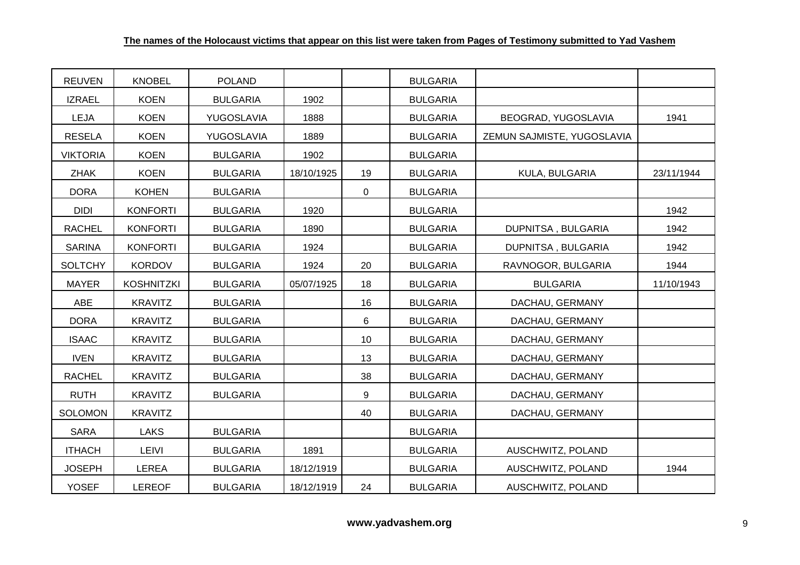| <b>REUVEN</b>   | <b>KNOBEL</b>     | <b>POLAND</b>   |            |             | <b>BULGARIA</b> |                            |            |
|-----------------|-------------------|-----------------|------------|-------------|-----------------|----------------------------|------------|
| <b>IZRAEL</b>   | <b>KOEN</b>       | <b>BULGARIA</b> | 1902       |             | <b>BULGARIA</b> |                            |            |
| <b>LEJA</b>     | <b>KOEN</b>       | YUGOSLAVIA      | 1888       |             | <b>BULGARIA</b> | BEOGRAD, YUGOSLAVIA        | 1941       |
| <b>RESELA</b>   | <b>KOEN</b>       | YUGOSLAVIA      | 1889       |             | <b>BULGARIA</b> | ZEMUN SAJMISTE, YUGOSLAVIA |            |
| <b>VIKTORIA</b> | <b>KOEN</b>       | <b>BULGARIA</b> | 1902       |             | <b>BULGARIA</b> |                            |            |
| <b>ZHAK</b>     | <b>KOEN</b>       | <b>BULGARIA</b> | 18/10/1925 | 19          | <b>BULGARIA</b> | KULA, BULGARIA             | 23/11/1944 |
| <b>DORA</b>     | <b>KOHEN</b>      | <b>BULGARIA</b> |            | $\mathbf 0$ | <b>BULGARIA</b> |                            |            |
| <b>DIDI</b>     | <b>KONFORTI</b>   | <b>BULGARIA</b> | 1920       |             | <b>BULGARIA</b> |                            | 1942       |
| <b>RACHEL</b>   | <b>KONFORTI</b>   | <b>BULGARIA</b> | 1890       |             | <b>BULGARIA</b> | DUPNITSA, BULGARIA         | 1942       |
| <b>SARINA</b>   | <b>KONFORTI</b>   | <b>BULGARIA</b> | 1924       |             | <b>BULGARIA</b> | DUPNITSA, BULGARIA         | 1942       |
| <b>SOLTCHY</b>  | <b>KORDOV</b>     | <b>BULGARIA</b> | 1924       | 20          | <b>BULGARIA</b> | RAVNOGOR, BULGARIA         | 1944       |
| <b>MAYER</b>    | <b>KOSHNITZKI</b> | <b>BULGARIA</b> | 05/07/1925 | 18          | <b>BULGARIA</b> | <b>BULGARIA</b>            | 11/10/1943 |
| ABE             | <b>KRAVITZ</b>    | <b>BULGARIA</b> |            | 16          | <b>BULGARIA</b> | DACHAU, GERMANY            |            |
| <b>DORA</b>     | <b>KRAVITZ</b>    | <b>BULGARIA</b> |            | 6           | <b>BULGARIA</b> | DACHAU, GERMANY            |            |
| <b>ISAAC</b>    | <b>KRAVITZ</b>    | <b>BULGARIA</b> |            | 10          | <b>BULGARIA</b> | DACHAU, GERMANY            |            |
| <b>IVEN</b>     | <b>KRAVITZ</b>    | <b>BULGARIA</b> |            | 13          | <b>BULGARIA</b> | DACHAU, GERMANY            |            |
| <b>RACHEL</b>   | KRAVITZ           | <b>BULGARIA</b> |            | 38          | <b>BULGARIA</b> | DACHAU, GERMANY            |            |
| <b>RUTH</b>     | <b>KRAVITZ</b>    | <b>BULGARIA</b> |            | 9           | <b>BULGARIA</b> | DACHAU, GERMANY            |            |
| <b>SOLOMON</b>  | <b>KRAVITZ</b>    |                 |            | 40          | <b>BULGARIA</b> | DACHAU, GERMANY            |            |
| <b>SARA</b>     | <b>LAKS</b>       | <b>BULGARIA</b> |            |             | <b>BULGARIA</b> |                            |            |
| <b>ITHACH</b>   | <b>LEIVI</b>      | <b>BULGARIA</b> | 1891       |             | <b>BULGARIA</b> | AUSCHWITZ, POLAND          |            |
| <b>JOSEPH</b>   | <b>LEREA</b>      | <b>BULGARIA</b> | 18/12/1919 |             | <b>BULGARIA</b> | AUSCHWITZ, POLAND          | 1944       |
| <b>YOSEF</b>    | <b>LEREOF</b>     | <b>BULGARIA</b> | 18/12/1919 | 24          | <b>BULGARIA</b> | AUSCHWITZ, POLAND          |            |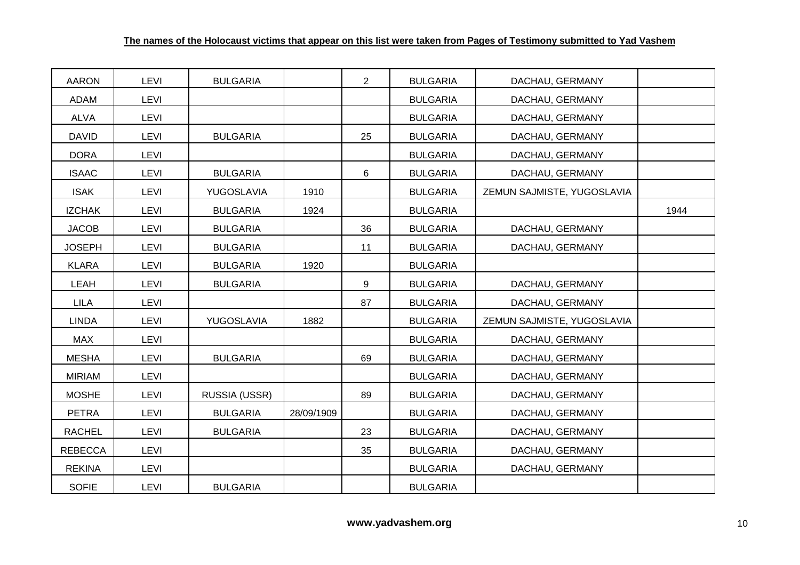| <b>AARON</b>   | <b>LEVI</b> | <b>BULGARIA</b> |            | $\overline{2}$ | <b>BULGARIA</b> | DACHAU, GERMANY            |      |
|----------------|-------------|-----------------|------------|----------------|-----------------|----------------------------|------|
| ADAM           | <b>LEVI</b> |                 |            |                | <b>BULGARIA</b> | DACHAU, GERMANY            |      |
| <b>ALVA</b>    | <b>LEVI</b> |                 |            |                | <b>BULGARIA</b> | DACHAU, GERMANY            |      |
| <b>DAVID</b>   | <b>LEVI</b> | <b>BULGARIA</b> |            | 25             | <b>BULGARIA</b> | DACHAU, GERMANY            |      |
| <b>DORA</b>    | LEVI        |                 |            |                | <b>BULGARIA</b> | DACHAU, GERMANY            |      |
| <b>ISAAC</b>   | <b>LEVI</b> | <b>BULGARIA</b> |            | 6              | <b>BULGARIA</b> | DACHAU, GERMANY            |      |
| <b>ISAK</b>    | LEVI        | YUGOSLAVIA      | 1910       |                | <b>BULGARIA</b> | ZEMUN SAJMISTE, YUGOSLAVIA |      |
| <b>IZCHAK</b>  | LEVI        | <b>BULGARIA</b> | 1924       |                | <b>BULGARIA</b> |                            | 1944 |
| <b>JACOB</b>   | LEVI        | <b>BULGARIA</b> |            | 36             | <b>BULGARIA</b> | DACHAU, GERMANY            |      |
| <b>JOSEPH</b>  | <b>LEVI</b> | <b>BULGARIA</b> |            | 11             | <b>BULGARIA</b> | DACHAU, GERMANY            |      |
| <b>KLARA</b>   | <b>LEVI</b> | <b>BULGARIA</b> | 1920       |                | <b>BULGARIA</b> |                            |      |
| LEAH           | <b>LEVI</b> | <b>BULGARIA</b> |            | 9              | <b>BULGARIA</b> | DACHAU, GERMANY            |      |
| <b>LILA</b>    | LEVI        |                 |            | 87             | <b>BULGARIA</b> | DACHAU, GERMANY            |      |
| <b>LINDA</b>   | <b>LEVI</b> | YUGOSLAVIA      | 1882       |                | <b>BULGARIA</b> | ZEMUN SAJMISTE, YUGOSLAVIA |      |
| <b>MAX</b>     | <b>LEVI</b> |                 |            |                | <b>BULGARIA</b> | DACHAU, GERMANY            |      |
| <b>MESHA</b>   | LEVI        | <b>BULGARIA</b> |            | 69             | <b>BULGARIA</b> | DACHAU, GERMANY            |      |
| <b>MIRIAM</b>  | <b>LEVI</b> |                 |            |                | <b>BULGARIA</b> | DACHAU, GERMANY            |      |
| <b>MOSHE</b>   | LEVI        | RUSSIA (USSR)   |            | 89             | <b>BULGARIA</b> | DACHAU, GERMANY            |      |
| <b>PETRA</b>   | <b>LEVI</b> | <b>BULGARIA</b> | 28/09/1909 |                | <b>BULGARIA</b> | DACHAU, GERMANY            |      |
| <b>RACHEL</b>  | <b>LEVI</b> | <b>BULGARIA</b> |            | 23             | <b>BULGARIA</b> | DACHAU, GERMANY            |      |
| <b>REBECCA</b> | <b>LEVI</b> |                 |            | 35             | <b>BULGARIA</b> | DACHAU, GERMANY            |      |
| <b>REKINA</b>  | LEVI        |                 |            |                | <b>BULGARIA</b> | DACHAU, GERMANY            |      |
| <b>SOFIE</b>   | <b>LEVI</b> | <b>BULGARIA</b> |            |                | <b>BULGARIA</b> |                            |      |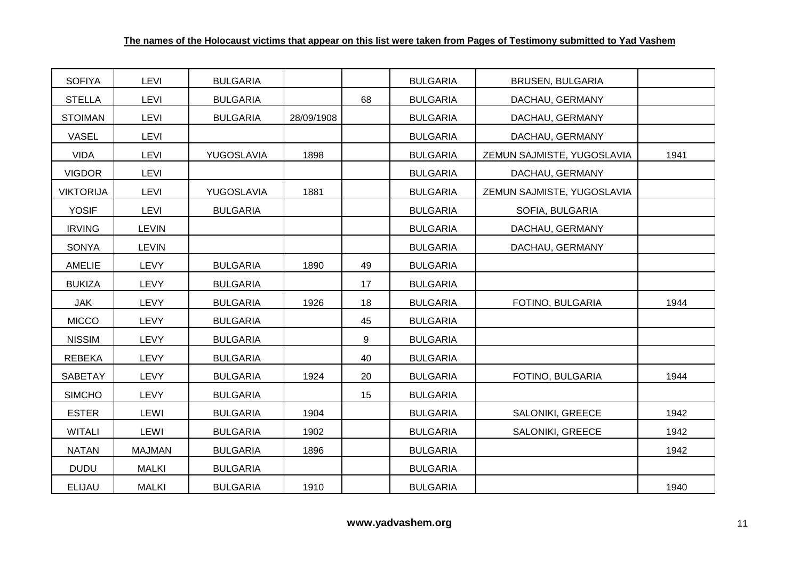| <b>SOFIYA</b>    | LEVI          | <b>BULGARIA</b> |            |    | <b>BULGARIA</b> | <b>BRUSEN, BULGARIA</b>    |      |
|------------------|---------------|-----------------|------------|----|-----------------|----------------------------|------|
| <b>STELLA</b>    | LEVI          | <b>BULGARIA</b> |            | 68 | <b>BULGARIA</b> | DACHAU, GERMANY            |      |
| <b>STOIMAN</b>   | LEVI          | <b>BULGARIA</b> | 28/09/1908 |    | <b>BULGARIA</b> | DACHAU, GERMANY            |      |
| VASEL            | LEVI          |                 |            |    | <b>BULGARIA</b> | DACHAU, GERMANY            |      |
| VIDA             | <b>LEVI</b>   | YUGOSLAVIA      | 1898       |    | <b>BULGARIA</b> | ZEMUN SAJMISTE, YUGOSLAVIA | 1941 |
| <b>VIGDOR</b>    | LEVI          |                 |            |    | <b>BULGARIA</b> | DACHAU, GERMANY            |      |
| <b>VIKTORIJA</b> | <b>LEVI</b>   | YUGOSLAVIA      | 1881       |    | <b>BULGARIA</b> | ZEMUN SAJMISTE, YUGOSLAVIA |      |
| <b>YOSIF</b>     | LEVI          | <b>BULGARIA</b> |            |    | <b>BULGARIA</b> | SOFIA, BULGARIA            |      |
| <b>IRVING</b>    | <b>LEVIN</b>  |                 |            |    | <b>BULGARIA</b> | DACHAU, GERMANY            |      |
| SONYA            | <b>LEVIN</b>  |                 |            |    | <b>BULGARIA</b> | DACHAU, GERMANY            |      |
| <b>AMELIE</b>    | <b>LEVY</b>   | <b>BULGARIA</b> | 1890       | 49 | <b>BULGARIA</b> |                            |      |
| <b>BUKIZA</b>    | <b>LEVY</b>   | <b>BULGARIA</b> |            | 17 | <b>BULGARIA</b> |                            |      |
| JAK              | <b>LEVY</b>   | <b>BULGARIA</b> | 1926       | 18 | <b>BULGARIA</b> | FOTINO, BULGARIA           | 1944 |
| <b>MICCO</b>     | <b>LEVY</b>   | <b>BULGARIA</b> |            | 45 | <b>BULGARIA</b> |                            |      |
| <b>NISSIM</b>    | <b>LEVY</b>   | <b>BULGARIA</b> |            | 9  | <b>BULGARIA</b> |                            |      |
| <b>REBEKA</b>    | <b>LEVY</b>   | <b>BULGARIA</b> |            | 40 | <b>BULGARIA</b> |                            |      |
| SABETAY          | <b>LEVY</b>   | <b>BULGARIA</b> | 1924       | 20 | <b>BULGARIA</b> | FOTINO, BULGARIA           | 1944 |
| <b>SIMCHO</b>    | <b>LEVY</b>   | <b>BULGARIA</b> |            | 15 | <b>BULGARIA</b> |                            |      |
| <b>ESTER</b>     | LEWI          | <b>BULGARIA</b> | 1904       |    | <b>BULGARIA</b> | SALONIKI, GREECE           | 1942 |
| <b>WITALI</b>    | LEWI          | <b>BULGARIA</b> | 1902       |    | <b>BULGARIA</b> | SALONIKI, GREECE           | 1942 |
| <b>NATAN</b>     | <b>MAJMAN</b> | <b>BULGARIA</b> | 1896       |    | <b>BULGARIA</b> |                            | 1942 |
| <b>DUDU</b>      | <b>MALKI</b>  | <b>BULGARIA</b> |            |    | <b>BULGARIA</b> |                            |      |
| <b>ELIJAU</b>    | <b>MALKI</b>  | <b>BULGARIA</b> | 1910       |    | <b>BULGARIA</b> |                            | 1940 |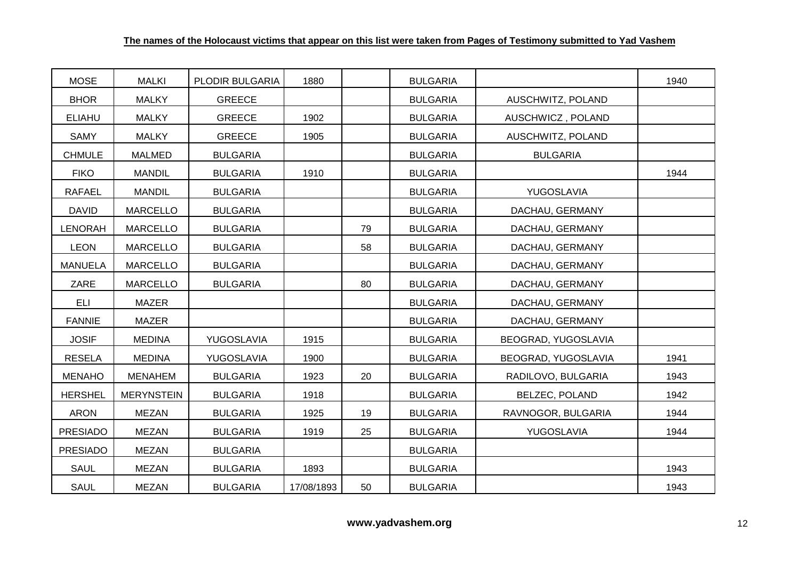| <b>MOSE</b>     | <b>MALKI</b>      | PLODIR BULGARIA | 1880       |    | <b>BULGARIA</b> |                     | 1940 |
|-----------------|-------------------|-----------------|------------|----|-----------------|---------------------|------|
| <b>BHOR</b>     | <b>MALKY</b>      | <b>GREECE</b>   |            |    | <b>BULGARIA</b> | AUSCHWITZ, POLAND   |      |
| <b>ELIAHU</b>   | <b>MALKY</b>      | <b>GREECE</b>   | 1902       |    | <b>BULGARIA</b> | AUSCHWICZ, POLAND   |      |
| SAMY            | <b>MALKY</b>      | <b>GREECE</b>   | 1905       |    | <b>BULGARIA</b> | AUSCHWITZ, POLAND   |      |
| <b>CHMULE</b>   | <b>MALMED</b>     | <b>BULGARIA</b> |            |    | <b>BULGARIA</b> | <b>BULGARIA</b>     |      |
| <b>FIKO</b>     | <b>MANDIL</b>     | <b>BULGARIA</b> | 1910       |    | <b>BULGARIA</b> |                     | 1944 |
| <b>RAFAEL</b>   | <b>MANDIL</b>     | <b>BULGARIA</b> |            |    | <b>BULGARIA</b> | YUGOSLAVIA          |      |
| <b>DAVID</b>    | <b>MARCELLO</b>   | <b>BULGARIA</b> |            |    | <b>BULGARIA</b> | DACHAU, GERMANY     |      |
| <b>LENORAH</b>  | <b>MARCELLO</b>   | <b>BULGARIA</b> |            | 79 | <b>BULGARIA</b> | DACHAU, GERMANY     |      |
| <b>LEON</b>     | <b>MARCELLO</b>   | <b>BULGARIA</b> |            | 58 | <b>BULGARIA</b> | DACHAU, GERMANY     |      |
| <b>MANUELA</b>  | <b>MARCELLO</b>   | <b>BULGARIA</b> |            |    | <b>BULGARIA</b> | DACHAU, GERMANY     |      |
| ZARE            | MARCELLO          | <b>BULGARIA</b> |            | 80 | <b>BULGARIA</b> | DACHAU, GERMANY     |      |
| ELI             | <b>MAZER</b>      |                 |            |    | <b>BULGARIA</b> | DACHAU, GERMANY     |      |
| <b>FANNIE</b>   | <b>MAZER</b>      |                 |            |    | <b>BULGARIA</b> | DACHAU, GERMANY     |      |
| <b>JOSIF</b>    | <b>MEDINA</b>     | YUGOSLAVIA      | 1915       |    | <b>BULGARIA</b> | BEOGRAD, YUGOSLAVIA |      |
| <b>RESELA</b>   | <b>MEDINA</b>     | YUGOSLAVIA      | 1900       |    | <b>BULGARIA</b> | BEOGRAD, YUGOSLAVIA | 1941 |
| <b>MENAHO</b>   | <b>MENAHEM</b>    | <b>BULGARIA</b> | 1923       | 20 | <b>BULGARIA</b> | RADILOVO, BULGARIA  | 1943 |
| <b>HERSHEL</b>  | <b>MERYNSTEIN</b> | <b>BULGARIA</b> | 1918       |    | <b>BULGARIA</b> | BELZEC, POLAND      | 1942 |
| <b>ARON</b>     | <b>MEZAN</b>      | <b>BULGARIA</b> | 1925       | 19 | <b>BULGARIA</b> | RAVNOGOR, BULGARIA  | 1944 |
| <b>PRESIADO</b> | <b>MEZAN</b>      | <b>BULGARIA</b> | 1919       | 25 | <b>BULGARIA</b> | YUGOSLAVIA          | 1944 |
| <b>PRESIADO</b> | <b>MEZAN</b>      | <b>BULGARIA</b> |            |    | <b>BULGARIA</b> |                     |      |
| <b>SAUL</b>     | <b>MEZAN</b>      | <b>BULGARIA</b> | 1893       |    | <b>BULGARIA</b> |                     | 1943 |
| <b>SAUL</b>     | <b>MEZAN</b>      | <b>BULGARIA</b> | 17/08/1893 | 50 | <b>BULGARIA</b> |                     | 1943 |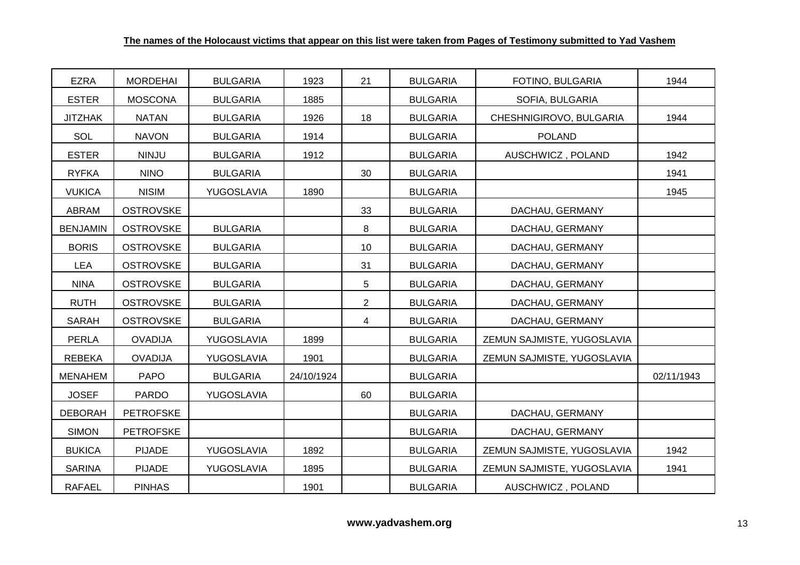| <b>EZRA</b>     | <b>MORDEHAI</b>  | <b>BULGARIA</b> | 1923       | 21             | <b>BULGARIA</b> | FOTINO, BULGARIA           | 1944       |
|-----------------|------------------|-----------------|------------|----------------|-----------------|----------------------------|------------|
| <b>ESTER</b>    | <b>MOSCONA</b>   | <b>BULGARIA</b> | 1885       |                | <b>BULGARIA</b> | SOFIA, BULGARIA            |            |
| <b>JITZHAK</b>  | <b>NATAN</b>     | <b>BULGARIA</b> | 1926       | 18             | <b>BULGARIA</b> | CHESHNIGIROVO, BULGARIA    | 1944       |
| SOL             | <b>NAVON</b>     | <b>BULGARIA</b> | 1914       |                | <b>BULGARIA</b> | <b>POLAND</b>              |            |
| <b>ESTER</b>    | <b>NINJU</b>     | <b>BULGARIA</b> | 1912       |                | <b>BULGARIA</b> | AUSCHWICZ, POLAND          | 1942       |
| <b>RYFKA</b>    | <b>NINO</b>      | <b>BULGARIA</b> |            | 30             | <b>BULGARIA</b> |                            | 1941       |
| <b>VUKICA</b>   | <b>NISIM</b>     | YUGOSLAVIA      | 1890       |                | <b>BULGARIA</b> |                            | 1945       |
| ABRAM           | <b>OSTROVSKE</b> |                 |            | 33             | <b>BULGARIA</b> | DACHAU, GERMANY            |            |
| <b>BENJAMIN</b> | <b>OSTROVSKE</b> | <b>BULGARIA</b> |            | 8              | <b>BULGARIA</b> | DACHAU, GERMANY            |            |
| <b>BORIS</b>    | <b>OSTROVSKE</b> | <b>BULGARIA</b> |            | 10             | <b>BULGARIA</b> | DACHAU, GERMANY            |            |
| <b>LEA</b>      | <b>OSTROVSKE</b> | <b>BULGARIA</b> |            | 31             | <b>BULGARIA</b> | DACHAU, GERMANY            |            |
| <b>NINA</b>     | <b>OSTROVSKE</b> | <b>BULGARIA</b> |            | 5              | <b>BULGARIA</b> | DACHAU, GERMANY            |            |
| <b>RUTH</b>     | <b>OSTROVSKE</b> | <b>BULGARIA</b> |            | $\overline{2}$ | <b>BULGARIA</b> | DACHAU, GERMANY            |            |
| <b>SARAH</b>    | <b>OSTROVSKE</b> | <b>BULGARIA</b> |            | 4              | <b>BULGARIA</b> | DACHAU, GERMANY            |            |
| PERLA           | <b>OVADIJA</b>   | YUGOSLAVIA      | 1899       |                | <b>BULGARIA</b> | ZEMUN SAJMISTE, YUGOSLAVIA |            |
| <b>REBEKA</b>   | <b>OVADIJA</b>   | YUGOSLAVIA      | 1901       |                | <b>BULGARIA</b> | ZEMUN SAJMISTE, YUGOSLAVIA |            |
| <b>MENAHEM</b>  | <b>PAPO</b>      | <b>BULGARIA</b> | 24/10/1924 |                | <b>BULGARIA</b> |                            | 02/11/1943 |
| <b>JOSEF</b>    | <b>PARDO</b>     | YUGOSLAVIA      |            | 60             | <b>BULGARIA</b> |                            |            |
| <b>DEBORAH</b>  | <b>PETROFSKE</b> |                 |            |                | <b>BULGARIA</b> | DACHAU, GERMANY            |            |
| <b>SIMON</b>    | <b>PETROFSKE</b> |                 |            |                | <b>BULGARIA</b> | DACHAU, GERMANY            |            |
| <b>BUKICA</b>   | <b>PIJADE</b>    | YUGOSLAVIA      | 1892       |                | <b>BULGARIA</b> | ZEMUN SAJMISTE, YUGOSLAVIA | 1942       |
| <b>SARINA</b>   | <b>PIJADE</b>    | YUGOSLAVIA      | 1895       |                | <b>BULGARIA</b> | ZEMUN SAJMISTE, YUGOSLAVIA | 1941       |
| <b>RAFAEL</b>   | <b>PINHAS</b>    |                 | 1901       |                | <b>BULGARIA</b> | AUSCHWICZ, POLAND          |            |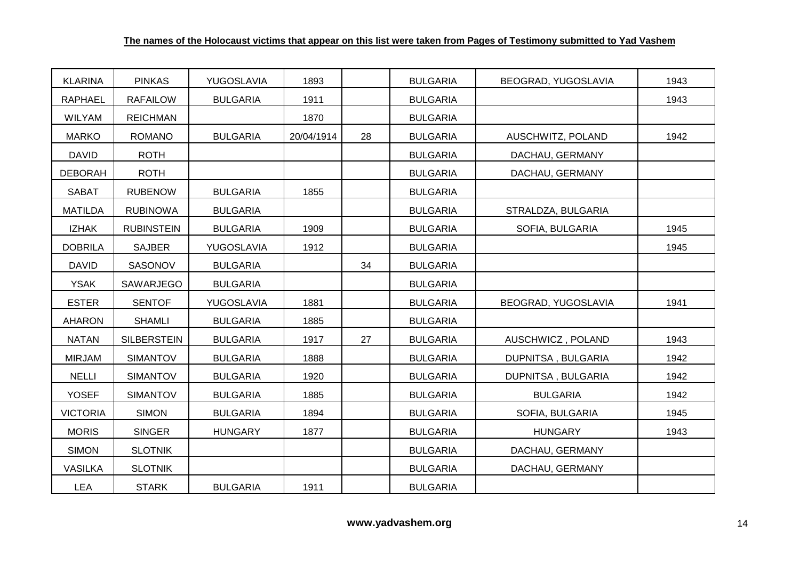| <b>KLARINA</b>  | <b>PINKAS</b>      | YUGOSLAVIA      | 1893       |    | <b>BULGARIA</b> | BEOGRAD, YUGOSLAVIA | 1943 |
|-----------------|--------------------|-----------------|------------|----|-----------------|---------------------|------|
| <b>RAPHAEL</b>  | <b>RAFAILOW</b>    | <b>BULGARIA</b> | 1911       |    | <b>BULGARIA</b> |                     | 1943 |
| <b>WILYAM</b>   | <b>REICHMAN</b>    |                 | 1870       |    | <b>BULGARIA</b> |                     |      |
| <b>MARKO</b>    | <b>ROMANO</b>      | <b>BULGARIA</b> | 20/04/1914 | 28 | <b>BULGARIA</b> | AUSCHWITZ, POLAND   | 1942 |
| <b>DAVID</b>    | <b>ROTH</b>        |                 |            |    | <b>BULGARIA</b> | DACHAU, GERMANY     |      |
| <b>DEBORAH</b>  | <b>ROTH</b>        |                 |            |    | <b>BULGARIA</b> | DACHAU, GERMANY     |      |
| <b>SABAT</b>    | <b>RUBENOW</b>     | <b>BULGARIA</b> | 1855       |    | <b>BULGARIA</b> |                     |      |
| <b>MATILDA</b>  | <b>RUBINOWA</b>    | <b>BULGARIA</b> |            |    | <b>BULGARIA</b> | STRALDZA, BULGARIA  |      |
| <b>IZHAK</b>    | <b>RUBINSTEIN</b>  | <b>BULGARIA</b> | 1909       |    | <b>BULGARIA</b> | SOFIA, BULGARIA     | 1945 |
| <b>DOBRILA</b>  | <b>SAJBER</b>      | YUGOSLAVIA      | 1912       |    | <b>BULGARIA</b> |                     | 1945 |
| <b>DAVID</b>    | SASONOV            | <b>BULGARIA</b> |            | 34 | <b>BULGARIA</b> |                     |      |
| <b>YSAK</b>     | SAWARJEGO          | <b>BULGARIA</b> |            |    | <b>BULGARIA</b> |                     |      |
| <b>ESTER</b>    | <b>SENTOF</b>      | YUGOSLAVIA      | 1881       |    | <b>BULGARIA</b> | BEOGRAD, YUGOSLAVIA | 1941 |
| <b>AHARON</b>   | <b>SHAMLI</b>      | <b>BULGARIA</b> | 1885       |    | <b>BULGARIA</b> |                     |      |
| <b>NATAN</b>    | <b>SILBERSTEIN</b> | <b>BULGARIA</b> | 1917       | 27 | <b>BULGARIA</b> | AUSCHWICZ, POLAND   | 1943 |
| <b>MIRJAM</b>   | <b>SIMANTOV</b>    | <b>BULGARIA</b> | 1888       |    | <b>BULGARIA</b> | DUPNITSA, BULGARIA  | 1942 |
| <b>NELLI</b>    | SIMANTOV           | <b>BULGARIA</b> | 1920       |    | <b>BULGARIA</b> | DUPNITSA, BULGARIA  | 1942 |
| <b>YOSEF</b>    | <b>SIMANTOV</b>    | <b>BULGARIA</b> | 1885       |    | <b>BULGARIA</b> | <b>BULGARIA</b>     | 1942 |
| <b>VICTORIA</b> | <b>SIMON</b>       | <b>BULGARIA</b> | 1894       |    | <b>BULGARIA</b> | SOFIA, BULGARIA     | 1945 |
| <b>MORIS</b>    | <b>SINGER</b>      | <b>HUNGARY</b>  | 1877       |    | <b>BULGARIA</b> | <b>HUNGARY</b>      | 1943 |
| <b>SIMON</b>    | <b>SLOTNIK</b>     |                 |            |    | <b>BULGARIA</b> | DACHAU, GERMANY     |      |
| <b>VASILKA</b>  | <b>SLOTNIK</b>     |                 |            |    | <b>BULGARIA</b> | DACHAU, GERMANY     |      |
| <b>LEA</b>      | <b>STARK</b>       | <b>BULGARIA</b> | 1911       |    | <b>BULGARIA</b> |                     |      |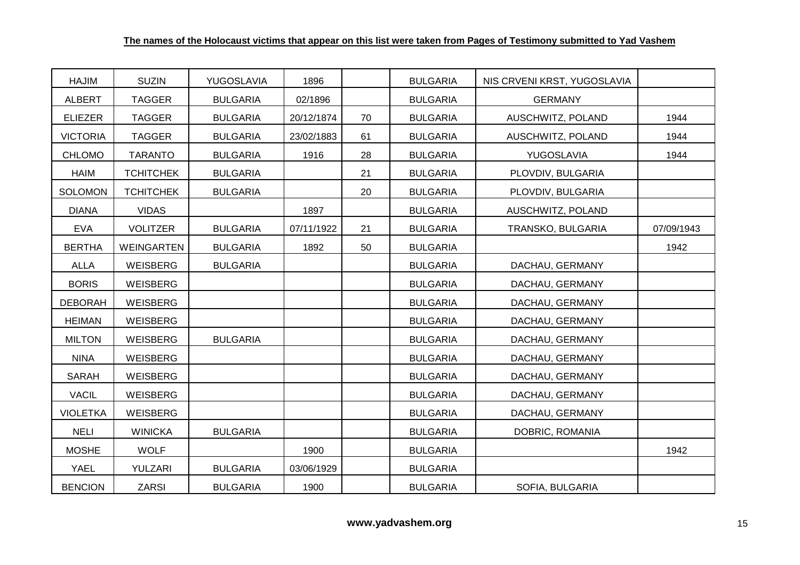| <b>HAJIM</b>    | <b>SUZIN</b>      | YUGOSLAVIA      | 1896       |    | <b>BULGARIA</b> | NIS CRVENI KRST, YUGOSLAVIA |            |
|-----------------|-------------------|-----------------|------------|----|-----------------|-----------------------------|------------|
| <b>ALBERT</b>   | <b>TAGGER</b>     | <b>BULGARIA</b> | 02/1896    |    | <b>BULGARIA</b> | <b>GERMANY</b>              |            |
| <b>ELIEZER</b>  | <b>TAGGER</b>     | <b>BULGARIA</b> | 20/12/1874 | 70 | <b>BULGARIA</b> | AUSCHWITZ, POLAND           | 1944       |
| <b>VICTORIA</b> | <b>TAGGER</b>     | <b>BULGARIA</b> | 23/02/1883 | 61 | <b>BULGARIA</b> | AUSCHWITZ, POLAND           | 1944       |
| <b>CHLOMO</b>   | <b>TARANTO</b>    | <b>BULGARIA</b> | 1916       | 28 | <b>BULGARIA</b> | YUGOSLAVIA                  | 1944       |
| <b>HAIM</b>     | <b>TCHITCHEK</b>  | <b>BULGARIA</b> |            | 21 | <b>BULGARIA</b> | PLOVDIV, BULGARIA           |            |
| <b>SOLOMON</b>  | <b>TCHITCHEK</b>  | <b>BULGARIA</b> |            | 20 | <b>BULGARIA</b> | PLOVDIV, BULGARIA           |            |
| <b>DIANA</b>    | <b>VIDAS</b>      |                 | 1897       |    | <b>BULGARIA</b> | AUSCHWITZ, POLAND           |            |
| <b>EVA</b>      | <b>VOLITZER</b>   | <b>BULGARIA</b> | 07/11/1922 | 21 | <b>BULGARIA</b> | TRANSKO, BULGARIA           | 07/09/1943 |
| <b>BERTHA</b>   | <b>WEINGARTEN</b> | <b>BULGARIA</b> | 1892       | 50 | <b>BULGARIA</b> |                             | 1942       |
| <b>ALLA</b>     | WEISBERG          | <b>BULGARIA</b> |            |    | <b>BULGARIA</b> | DACHAU, GERMANY             |            |
| <b>BORIS</b>    | WEISBERG          |                 |            |    | <b>BULGARIA</b> | DACHAU, GERMANY             |            |
| <b>DEBORAH</b>  | WEISBERG          |                 |            |    | <b>BULGARIA</b> | DACHAU, GERMANY             |            |
| <b>HEIMAN</b>   | WEISBERG          |                 |            |    | <b>BULGARIA</b> | DACHAU, GERMANY             |            |
| <b>MILTON</b>   | WEISBERG          | <b>BULGARIA</b> |            |    | <b>BULGARIA</b> | DACHAU, GERMANY             |            |
| <b>NINA</b>     | WEISBERG          |                 |            |    | <b>BULGARIA</b> | DACHAU, GERMANY             |            |
| <b>SARAH</b>    | <b>WEISBERG</b>   |                 |            |    | <b>BULGARIA</b> | DACHAU, GERMANY             |            |
| <b>VACIL</b>    | WEISBERG          |                 |            |    | <b>BULGARIA</b> | DACHAU, GERMANY             |            |
| <b>VIOLETKA</b> | WEISBERG          |                 |            |    | <b>BULGARIA</b> | DACHAU, GERMANY             |            |
| <b>NELI</b>     | <b>WINICKA</b>    | <b>BULGARIA</b> |            |    | <b>BULGARIA</b> | DOBRIC, ROMANIA             |            |
| <b>MOSHE</b>    | <b>WOLF</b>       |                 | 1900       |    | <b>BULGARIA</b> |                             | 1942       |
| <b>YAEL</b>     | YULZARI           | <b>BULGARIA</b> | 03/06/1929 |    | <b>BULGARIA</b> |                             |            |
| <b>BENCION</b>  | <b>ZARSI</b>      | <b>BULGARIA</b> | 1900       |    | <b>BULGARIA</b> | SOFIA, BULGARIA             |            |